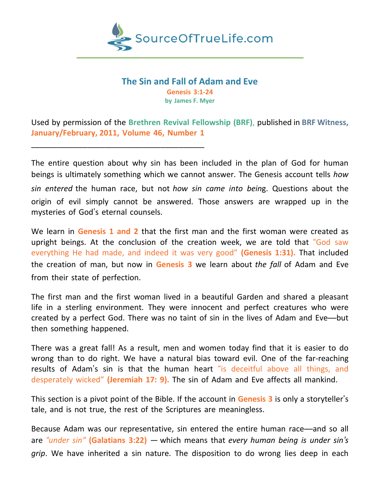

### **The Sin and Fall of Adam and Eve Genesis 3:1-24 by James F. Myer**

Used by permission of the **Brethren Revival Fellowship (BRF)**, published in **BRF Witness, January/February, 2011, Volume 46, Number 1**

\_\_\_\_\_\_\_\_\_\_\_\_\_\_\_\_\_\_\_\_\_\_\_\_\_\_\_\_\_\_\_\_\_\_\_\_\_\_\_\_

The entire question about why sin has been included in the plan of God for human beings is ultimately something which we cannot answer. The Genesis account tells *how sin entered* the human race, but not *how sin came into bein*g. Questions about the origin of evil simply cannot be answered. Those answers are wrapped up in the mysteries of God's eternal counsels.

We learn in **Genesis 1 and 2** that the first man and the first woman were created as upright beings. At the conclusion of the creation week, we are told that "God saw everything He had made, and indeed it was very good" **(Genesis 1:31).** That included the creation of man, but now in **Genesis 3** we learn about *the fall* of Adam and Eve from their state of perfection.

The first man and the first woman lived in a beautiful Garden and shared a pleasant life in a sterling environment. They were innocent and perfect creatures who were created by a perfect God. There was no taint of sin in the lives of Adam and Eve—but then something happened.

There was a great fall! As a result, men and women today find that it is easier to do wrong than to do right. We have a natural bias toward evil. One of the far-reaching results of Adam's sin is that the human heart "is deceitful above all things, and desperately wicked" **(Jeremiah 17: 9).** The sin of Adam and Eve affects all mankind.

This section is a pivot point of the Bible. If the account in **Genesis 3** is only a storyteller's tale, and is not true, the rest of the Scriptures are meaningless.

Because Adam was our representative, sin entered the entire human race—and so all are *"under sin"* **(Galatians 3:22)** — which means that *every human being is under sin's grip*. We have inherited a sin nature. The disposition to do wrong lies deep in each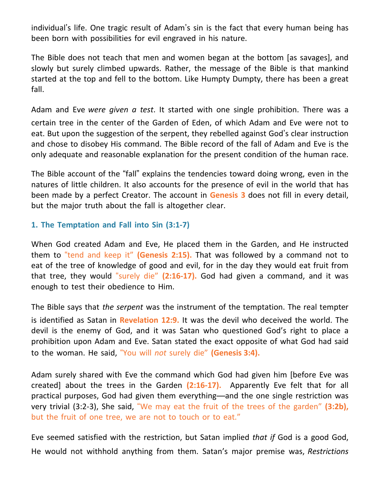individual's life. One tragic result of Adam's sin is the fact that every human being has been born with possibilities for evil engraved in his nature.

The Bible does not teach that men and women began at the bottom [as savages], and slowly but surely climbed upwards. Rather, the message of the Bible is that mankind started at the top and fell to the bottom. Like Humpty Dumpty, there has been a great fall.

Adam and Eve *were given a test*. It started with one single prohibition. There was a certain tree in the center of the Garden of Eden, of which Adam and Eve were not to eat. But upon the suggestion of the serpent, they rebelled against God's clear instruction and chose to disobey His command. The Bible record of the fall of Adam and Eve is the only adequate and reasonable explanation for the present condition of the human race.

The Bible account of the "fall" explains the tendencies toward doing wrong, even in the natures of little children. It also accounts for the presence of evil in the world that has been made by a perfect Creator. The account in **Genesis 3** does not fill in every detail, but the major truth about the fall is altogether clear.

# **1. The Temptation and Fall into Sin (3:1-7)**

When God created Adam and Eve, He placed them in the Garden, and He instructed them to "tend and keep it" **(Genesis 2:15).** That was followed by a command not to eat of the tree of knowledge of good and evil, for in the day they would eat fruit from that tree, they would "surely die" **(2:16-17).** God had given a command, and it was enough to test their obedience to Him.

The Bible says that *the serpent* was the instrument of the temptation. The real tempter is identified as Satan in **Revelation 12:9.** It was the devil who deceived the world. The devil is the enemy of God, and it was Satan who questioned God's right to place a prohibition upon Adam and Eve. Satan stated the exact opposite of what God had said to the woman. He said, "You will *not* surely die" **(Genesis 3:4).**

Adam surely shared with Eve the command which God had given him [before Eve was created] about the trees in the Garden **(2:16-17).** Apparently Eve felt that for all practical purposes, God had given them everything—and the one single restriction was very trivial (3:2-3), She said, "We may eat the fruit of the trees of the garden" **(3:2b),** but the fruit of one tree, we are not to touch or to eat."

Eve seemed satisfied with the restriction, but Satan implied *that if* God is a good God, He would not withhold anything from them. Satan's major premise was, *Restrictions*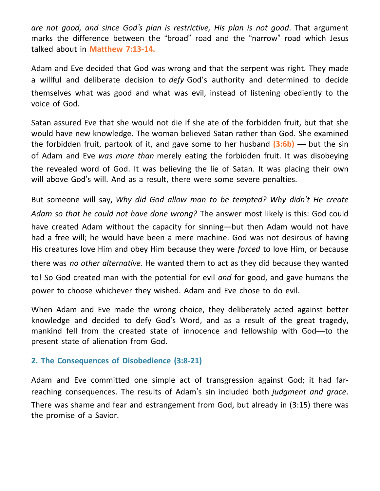*are not good, and since God's plan is restrictive, His plan is not good*. That argument marks the difference between the "broad" road and the "narrow" road which Jesus talked about in **Matthew 7:13-14.**

Adam and Eve decided that God was wrong and that the serpent was right. They made a willful and deliberate decision to *defy* God's authority and determined to decide themselves what was good and what was evil, instead of listening obediently to the voice of God.

Satan assured Eve that she would not die if she ate of the forbidden fruit, but that she would have new knowledge. The woman believed Satan rather than God. She examined the forbidden fruit, partook of it, and gave some to her husband **(3:6b)** — but the sin of Adam and Eve *was more than* merely eating the forbidden fruit. It was disobeying the revealed word of God. It was believing the lie of Satan. It was placing their own will above God's will. And as a result, there were some severe penalties.

But someone will say, *Why did God allow man to be tempted? Why didn't He create Adam so that he could not have done wrong?* The answer most likely is this: God could have created Adam without the capacity for sinning—but then Adam would not have had a free will; he would have been a mere machine. God was not desirous of having His creatures love Him and obey Him because they were *forced* to love Him, or because there was *no other alternative*. He wanted them to act as they did because they wanted to! So God created man with the potential for evil *and* for good, and gave humans the power to choose whichever they wished. Adam and Eve chose to do evil.

When Adam and Eve made the wrong choice, they deliberately acted against better knowledge and decided to defy God's Word, and as a result of the great tragedy, mankind fell from the created state of innocence and fellowship with God—to the present state of alienation from God.

# **2. The Consequences of Disobedience (3:8-21)**

Adam and Eve committed one simple act of transgression against God; it had farreaching consequences. The results of Adam's sin included both *judgment and grace*. There was shame and fear and estrangement from God, but already in (3:15) there was the promise of a Savior.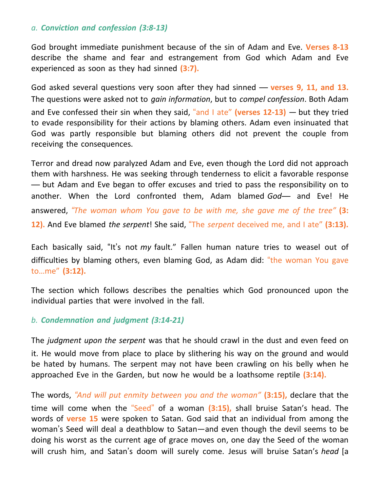### *a. Conviction and confession (3:8-13)*

God brought immediate punishment because of the sin of Adam and Eve. **Verses 8-13** describe the shame and fear and estrangement from God which Adam and Eve experienced as soon as they had sinned **(3:7).**

God asked several questions very soon after they had sinned — **verses 9, 11, and 13.** The questions were asked not to *gain information*, but to *compel confession*. Both Adam and Eve confessed their sin when they said, "and I ate" **(verses 12-13)** — but they tried to evade responsibility for their actions by blaming others. Adam even insinuated that God was partly responsible but blaming others did not prevent the couple from receiving the consequences.

Terror and dread now paralyzed Adam and Eve, even though the Lord did not approach them with harshness. He was seeking through tenderness to elicit a favorable response — but Adam and Eve began to offer excuses and tried to pass the responsibility on to another. When the Lord confronted them, Adam blamed *God*— and Eve! He answered, *"The woman whom You gave to be with me, she gave me of the tree"* **(3: 12).** And Eve blamed *the serpent*! She said, "The *serpent* deceived me, and I ate" **(3:13).**

Each basically said, "It's not *my* fault." Fallen human nature tries to weasel out of difficulties by blaming others, even blaming God, as Adam did: "the woman You gave to…me" **(3:12).**

The section which follows describes the penalties which God pronounced upon the individual parties that were involved in the fall.

### *b. Condemnation and judgment (3:14-21)*

The *judgment upon the serpent* was that he should crawl in the dust and even feed on it. He would move from place to place by slithering his way on the ground and would be hated by humans. The serpent may not have been crawling on his belly when he approached Eve in the Garden, but now he would be a loathsome reptile **(3:14).**

The words, *"And will put enmity between you and the woman"* **(3:15),** declare that the time will come when the "Seed" of a woman **(3:15),** shall bruise Satan's head. The words of **verse 15** were spoken to Satan. God said that an individual from among the woman's Seed will deal a deathblow to Satan—and even though the devil seems to be doing his worst as the current age of grace moves on, one day the Seed of the woman will crush him, and Satan's doom will surely come. Jesus will bruise Satan's *head* [a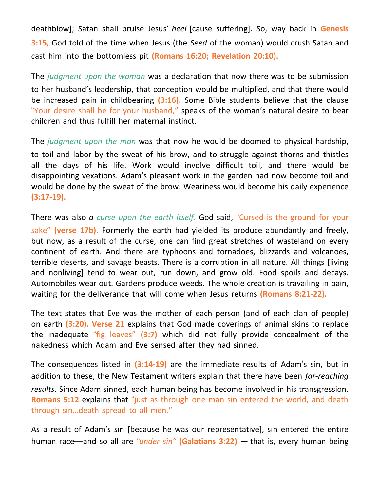deathblow]; Satan shall bruise Jesus' *heel* [cause suffering]. So, way back in **Genesis 3:15,** God told of the time when Jesus (the *Seed* of the woman) would crush Satan and cast him into the bottomless pit **(Romans 16:20; Revelation 20:10).**

The *judgment upon the woman* was a declaration that now there was to be submission to her husband's leadership, that conception would be multiplied, and that there would be increased pain in childbearing **(3:16).** Some Bible students believe that the clause "Your desire shall be for your husband," speaks of the woman's natural desire to bear children and thus fulfill her maternal instinct.

The *judgment upon the man* was that now he would be doomed to physical hardship, to toil and labor by the sweat of his brow, and to struggle against thorns and thistles all the days of his life. Work would involve difficult toil, and there would be disappointing vexations. Adam's pleasant work in the garden had now become toil and would be done by the sweat of the brow. Weariness would become his daily experience **(3:17-19).**

There was also *a curse upon the earth itself*. God said, "Cursed is the ground for your sake" **(verse 17b).** Formerly the earth had yielded its produce abundantly and freely, but now, as a result of the curse, one can find great stretches of wasteland on every continent of earth. And there are typhoons and tornadoes, blizzards and volcanoes, terrible deserts, and savage beasts. There is a corruption in all nature. All things [living and nonliving] tend to wear out, run down, and grow old. Food spoils and decays. Automobiles wear out. Gardens produce weeds. The whole creation is travailing in pain, waiting for the deliverance that will come when Jesus returns **(Romans 8:21-22).**

The text states that Eve was the mother of each person (and of each clan of people) on earth **(3:20). Verse 21** explains that God made coverings of animal skins to replace the inadequate "fig leaves" **(3:7)** which did not fully provide concealment of the nakedness which Adam and Eve sensed after they had sinned.

The consequences listed in **(3:14-19)** are the immediate results of Adam's sin, but in addition to these, the New Testament writers explain that there have been *far-reaching results*. Since Adam sinned, each human being has become involved in his transgression. **Romans 5:12** explains that "just as through one man sin entered the world, and death through sin…death spread to all men."

As a result of Adam's sin [because he was our representative], sin entered the entire human race—and so all are *"under sin"* **(Galatians 3:22)** — that is, every human being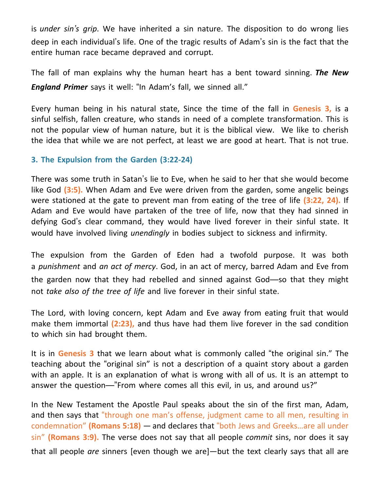is *under sin's grip*. We have inherited a sin nature. The disposition to do wrong lies deep in each individual's life. One of the tragic results of Adam's sin is the fact that the entire human race became depraved and corrupt.

The fall of man explains why the human heart has a bent toward sinning. *The New England Primer* says it well: "In Adam's fall, we sinned all."

Every human being in his natural state, Since the time of the fall in **Genesis 3,** is a sinful selfish, fallen creature, who stands in need of a complete transformation. This is not the popular view of human nature, but it is the biblical view. We like to cherish the idea that while we are not perfect, at least we are good at heart. That is not true.

# **3. The Expulsion from the Garden (3:22-24)**

There was some truth in Satan's lie to Eve, when he said to her that she would become like God **(3:5).** When Adam and Eve were driven from the garden, some angelic beings were stationed at the gate to prevent man from eating of the tree of life **(3:22, 24).** If Adam and Eve would have partaken of the tree of life, now that they had sinned in defying God's clear command, they would have lived forever in their sinful state. It would have involved living *unendingly* in bodies subject to sickness and infirmity.

The expulsion from the Garden of Eden had a twofold purpose. It was both a *punishment* and *an act of mercy*. God, in an act of mercy, barred Adam and Eve from the garden now that they had rebelled and sinned against God—so that they might not *take also of the tree of life* and live forever in their sinful state.

The Lord, with loving concern, kept Adam and Eve away from eating fruit that would make them immortal **(2:23),** and thus have had them live forever in the sad condition to which sin had brought them.

It is in **Genesis 3** that we learn about what is commonly called "the original sin." The teaching about the "original sin" is not a description of a quaint story about a garden with an apple. It is an explanation of what is wrong with all of us. It is an attempt to answer the question—"From where comes all this evil, in us, and around us?"

In the New Testament the Apostle Paul speaks about the sin of the first man, Adam, and then says that "through one man's offense, judgment came to all men, resulting in condemnation" **(Romans 5:18)** — and declares that "both Jews and Greeks…are all under sin" **(Romans 3:9).** The verse does not say that all people *commit* sins, nor does it say that all people *are* sinners [even though we are]—but the text clearly says that all are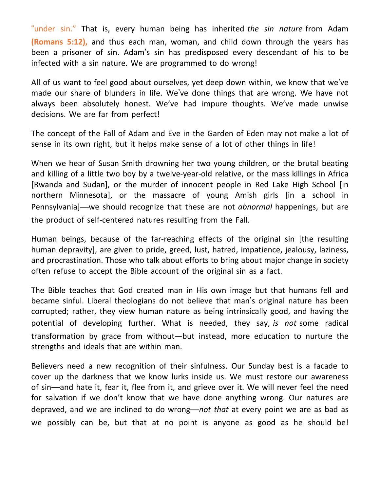"under sin." That is, every human being has inherited *the sin nature* from Adam **(Romans 5:12),** and thus each man, woman, and child down through the years has been a prisoner of sin. Adam's sin has predisposed every descendant of his to be infected with a sin nature. We are programmed to do wrong!

All of us want to feel good about ourselves, yet deep down within, we know that we've made our share of blunders in life. We've done things that are wrong. We have not always been absolutely honest. We've had impure thoughts. We've made unwise decisions. We are far from perfect!

The concept of the Fall of Adam and Eve in the Garden of Eden may not make a lot of sense in its own right, but it helps make sense of a lot of other things in life!

When we hear of Susan Smith drowning her two young children, or the brutal beating and killing of a little two boy by a twelve-year-old relative, or the mass killings in Africa [Rwanda and Sudan], or the murder of innocent people in Red Lake High School [in northern Minnesota], or the massacre of young Amish girls [in a school in Pennsylvania]—we should recognize that these are not *abnormal* happenings, but are the product of self-centered natures resulting from the Fall.

Human beings, because of the far-reaching effects of the original sin [the resulting human depravity], are given to pride, greed, lust, hatred, impatience, jealousy, laziness, and procrastination. Those who talk about efforts to bring about major change in society often refuse to accept the Bible account of the original sin as a fact.

The Bible teaches that God created man in His own image but that humans fell and became sinful. Liberal theologians do not believe that man's original nature has been corrupted; rather, they view human nature as being intrinsically good, and having the potential of developing further. What is needed, they say, *is not* some radical transformation by grace from without—but instead, more education to nurture the strengths and ideals that are within man.

Believers need a new recognition of their sinfulness. Our Sunday best is a facade to cover up the darkness that we know lurks inside us. We must restore our awareness of sin—and hate it, fear it, flee from it, and grieve over it. We will never feel the need for salvation if we don't know that we have done anything wrong. Our natures are depraved, and we are inclined to do wrong—*not that* at every point we are as bad as we possibly can be, but that at no point is anyone as good as he should be!